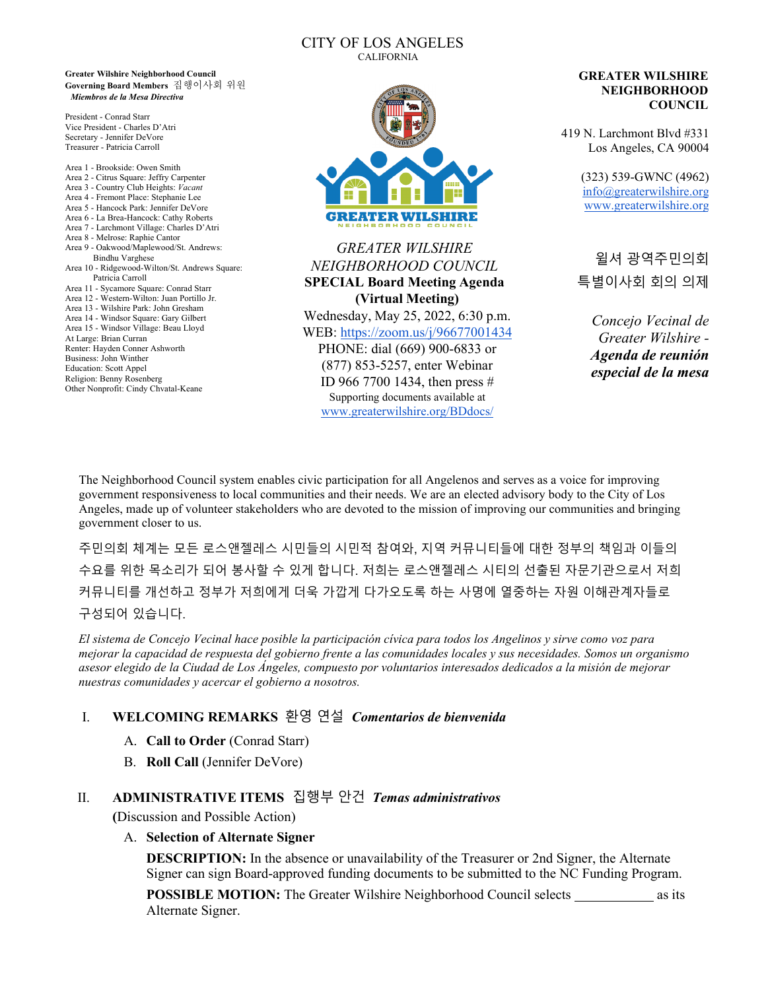#### CITY OF LOS ANGELES CALIFORNIA

**Greater Wilshire Neighborhood Council Governing Board Members** 집행이사회 위원 *Miembros de la Mesa Directiva*

President - Conrad Starr Vice President - Charles D'Atri Secretary - Jennifer DeVore Treasurer - Patricia Carroll

Area 1 - Brookside: Owen Smith Area 2 - Citrus Square: Jeffry Carpenter Area 3 - Country Club Heights: *Vacant* Area 4 - Fremont Place: Stephanie Lee Area 5 - Hancock Park: Jennifer DeVore Area 6 - La Brea-Hancock: Cathy Roberts Area 7 - Larchmont Village: Charles D'Atri Area 8 - Melrose: Raphie Cantor Area 9 - Oakwood/Maplewood/St. Andrews: Bindhu Varghese Area 10 - Ridgewood-Wilton/St. Andrews Square: Patricia Carroll Area 11 - Sycamore Square: Conrad Starr Area 12 - Western-Wilton: Juan Portillo Jr. Area 13 - Wilshire Park: John Gresham Area 14 - Windsor Square: Gary Gilbert Area 15 - Windsor Village: Beau Lloyd At Large: Brian Curran Renter: Hayden Conner Ashworth Business: John Winther Education: Scott Appel Religion: Benny Rosenberg Other Nonprofit: Cindy Chvatal-Keane



*GREATER WILSHIRE NEIGHBORHOOD COUNCIL* **SPECIAL Board Meeting Agenda (Virtual Meeting)** Wednesday, May 25, 2022, 6:30 p.m. WEB:<https://zoom.us/j/96677001434> PHONE: dial (669) 900-6833 or (877) 853-5257, enter Webinar ID 966 7700 1434, then press # Supporting documents available at [www.greaterwilshire.org/BDdocs/](http://www.greaterwilshire.org/BDdocs/) 

#### **GREATER WILSHIRE NEIGHBORHOOD COUNCIL**

419 N. Larchmont Blvd #331 Los Angeles, CA 90004

> (323) 539-GWNC (4962) [info@greaterwilshire.org](mailto:info@greaterwilshire.org) [www.greaterwilshire.org](http://www.greaterwilshire.org/)

윌셔 광역주민의회 특별이사회 회의 의제

*Concejo Vecinal de Greater Wilshire - Agenda de reunión especial de la mesa*

The Neighborhood Council system enables civic participation for all Angelenos and serves as a voice for improving government responsiveness to local communities and their needs. We are an elected advisory body to the City of Los Angeles, made up of volunteer stakeholders who are devoted to the mission of improving our communities and bringing government closer to us.

주민의회 체계는 모든 로스앤젤레스 시민들의 시민적 참여와, 지역 커뮤니티들에 대한 정부의 책임과 이들의 수요를 위한 목소리가 되어 봉사할 수 있게 합니다. 저희는 로스앤젤레스 시티의 선출된 자문기관으로서 저희 커뮤니티를 개선하고 정부가 저희에게 더욱 가깝게 다가오도록 하는 사명에 열중하는 자원 이해관계자들로 구성되어 있습니다.

*El sistema de Concejo Vecinal hace posible la participación cívica para todos los Angelinos y sirve como voz para mejorar la capacidad de respuesta del gobierno frente a las comunidades locales y sus necesidades. Somos un organismo asesor elegido de la Ciudad de Los Ángeles, compuesto por voluntarios interesados dedicados a la misión de mejorar nuestras comunidades y acercar el gobierno a nosotros.*

## I. **WELCOMING REMARKS** 환영 연설 *Comentarios de bienvenida*

- A. **Call to Order** (Conrad Starr)
- B. **Roll Call** (Jennifer DeVore)

## II. **ADMINISTRATIVE ITEMS** 집행부 안건*Temas administrativos*

**(**Discussion and Possible Action)

A. **Selection of Alternate Signer**

**DESCRIPTION:** In the absence or unavailability of the Treasurer or 2nd Signer, the Alternate Signer can sign Board-approved funding documents to be submitted to the NC Funding Program.

**POSSIBLE MOTION:** The Greater Wilshire Neighborhood Council selects as its Alternate Signer.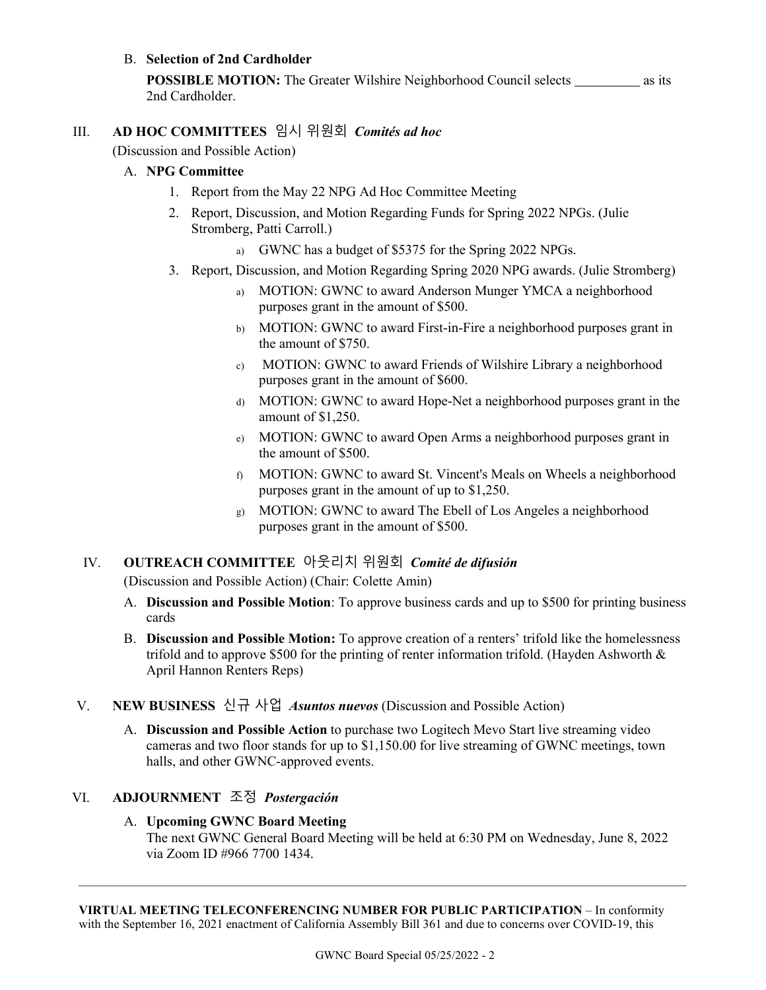## B. **Selection of 2nd Cardholder**

**POSSIBLE MOTION:** The Greater Wilshire Neighborhood Council selects as its 2nd Cardholder.

# III. **AD HOC COMMITTEES** 임시 위원회*Comités ad hoc*

(Discussion and Possible Action)

#### A. **NPG Committee**

- 1. Report from the May 22 NPG Ad Hoc Committee Meeting
- 2. Report, Discussion, and Motion Regarding Funds for Spring 2022 NPGs. (Julie Stromberg, Patti Carroll.)
	- a) GWNC has a budget of \$5375 for the Spring 2022 NPGs.
- 3. Report, Discussion, and Motion Regarding Spring 2020 NPG awards. (Julie Stromberg)
	- a) MOTION: GWNC to award Anderson Munger YMCA a neighborhood purposes grant in the amount of \$500.
	- b) MOTION: GWNC to award First-in-Fire a neighborhood purposes grant in the amount of \$750.
	- c) MOTION: GWNC to award Friends of Wilshire Library a neighborhood purposes grant in the amount of \$600.
	- d) MOTION: GWNC to award Hope-Net a neighborhood purposes grant in the amount of \$1,250.
	- e) MOTION: GWNC to award Open Arms a neighborhood purposes grant in the amount of \$500.
	- f) MOTION: GWNC to award St. Vincent's Meals on Wheels a neighborhood purposes grant in the amount of up to \$1,250.
	- g) MOTION: GWNC to award The Ebell of Los Angeles a neighborhood purposes grant in the amount of \$500.

## IV. **OUTREACH COMMITTEE** 아웃리치 위원회*Comité de difusión*

(Discussion and Possible Action) (Chair: Colette Amin)

- A. **Discussion and Possible Motion**: To approve business cards and up to \$500 for printing business cards
- B. **Discussion and Possible Motion:** To approve creation of a renters' trifold like the homelessness trifold and to approve \$500 for the printing of renter information trifold. (Hayden Ashworth  $\&$ April Hannon Renters Reps)
- V. **NEW BUSINESS** 신규 사업*Asuntos nuevos* (Discussion and Possible Action)
	- A. **Discussion and Possible Action** to purchase two Logitech Mevo Start live streaming video cameras and two floor stands for up to \$1,150.00 for live streaming of GWNC meetings, town halls, and other GWNC-approved events.

## VI. **ADJOURNMENT** 조정 *Postergación*

#### A. **Upcoming GWNC Board Meeting**

The next GWNC General Board Meeting will be held at 6:30 PM on Wednesday, June 8, 2022 via Zoom ID #966 7700 1434.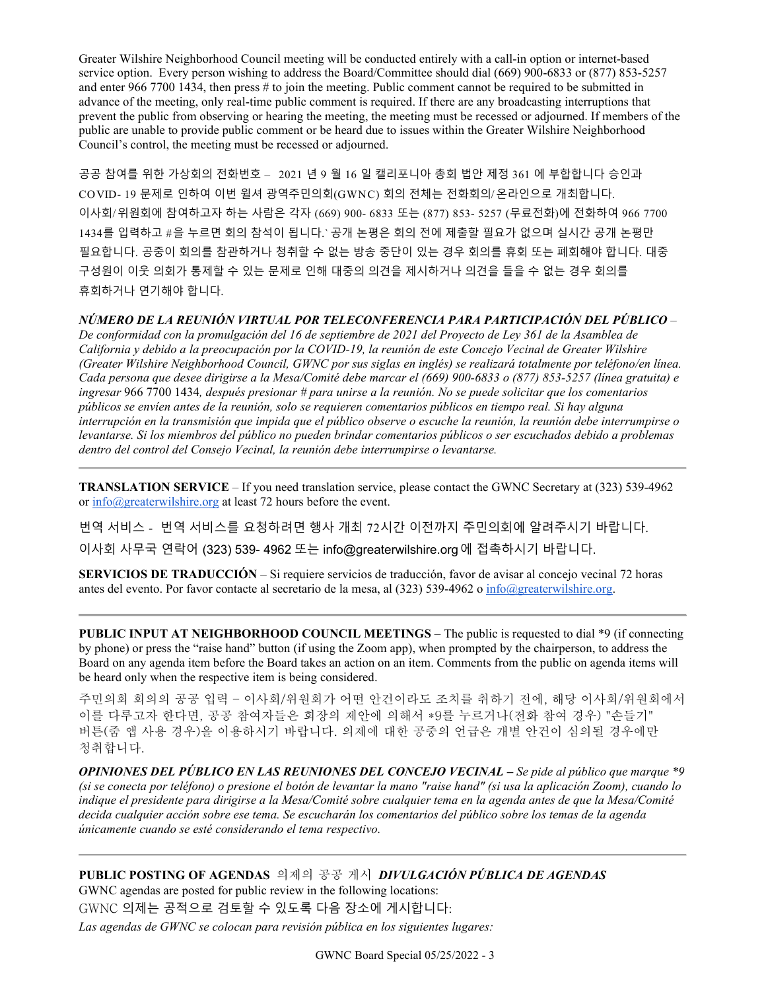Greater Wilshire Neighborhood Council meeting will be conducted entirely with a call-in option or internet-based service option. Every person wishing to address the Board/Committee should dial (669) 900-6833 or (877) 853-5257 and enter 966 7700 1434, then press # to join the meeting. Public comment cannot be required to be submitted in advance of the meeting, only real-time public comment is required. If there are any broadcasting interruptions that prevent the public from observing or hearing the meeting, the meeting must be recessed or adjourned. If members of the public are unable to provide public comment or be heard due to issues within the Greater Wilshire Neighborhood Council's control, the meeting must be recessed or adjourned.

공공 참여를 위한 가상회의 전화번호 – 2021 년 9 월 16 일 캘리포니아 총회 법안 제정 361 에 부합합니다 승인과 COVID- 19 문제로 인하여 이번 윌셔 광역주민의회(GWNC) 회의 전체는 전화회의/온라인으로 개최합니다. 이사회/위원회에 참여하고자 하는 사람은 각자 (669) 900- 6833 또는 (877) 853- 5257 (무료전화)에 전화하여 966 7700 1434를 입력하고 #을 누르면 회의 참석이 됩니다.` 공개 논평은 회의 전에 제출할 필요가 없으며 실시간 공개 논평만 필요합니다. 공중이 회의를 참관하거나 청취할 수 없는 방송 중단이 있는 경우 회의를 휴회 또는 폐회해야 합니다. 대중 구성원이 이웃 의회가 통제할 수 있는 문제로 인해 대중의 의견을 제시하거나 의견을 들을 수 없는 경우 회의를 휴회하거나 연기해야 합니다.

#### *NÚMERO DE LA REUNIÓN VIRTUAL POR TELECONFERENCIA PARA PARTICIPACIÓN DEL PÚBLICO* –

*De conformidad con la promulgación del 16 de septiembre de 2021 del Proyecto de Ley 361 de la Asamblea de California y debido a la preocupación por la COVID-19, la reunión de este Concejo Vecinal de Greater Wilshire (Greater Wilshire Neighborhood Council, GWNC por sus siglas en inglés) se realizará totalmente por teléfono/en línea. Cada persona que desee dirigirse a la Mesa/Comité debe marcar el (669) 900-6833 o (877) 853-5257 (línea gratuita) e ingresar* 966 7700 1434*, después presionar # para unirse a la reunión. No se puede solicitar que los comentarios públicos se envíen antes de la reunión, solo se requieren comentarios públicos en tiempo real. Si hay alguna interrupción en la transmisión que impida que el público observe o escuche la reunión, la reunión debe interrumpirse o levantarse. Si los miembros del público no pueden brindar comentarios públicos o ser escuchados debido a problemas dentro del control del Consejo Vecinal, la reunión debe interrumpirse o levantarse.*

**TRANSLATION SERVICE** – If you need translation service, please contact the GWNC Secretary at (323) 539-4962 or [info@greaterwilshire.org](mailto:info@greaterwilshire.org) at least 72 hours before the event.

번역 서비스 - 번역 서비스를 요청하려면 행사 개최 72시간 이전까지 주민의회에 알려주시기 바랍니다. 이사회 사무국 연락어 (323) 539- 4962 또는 [info@greaterwilshire.org](mailto:info@greaterwilshire.org)에 접촉하시기 바랍니다.

**SERVICIOS DE TRADUCCIÓN** – [Si requiere servicios de traducción, favor de avisar al concejo vecinal 72 horas](http://www.greaterwilshire.org/)  [antes del evento. Por favor contacte al secretario de la mesa, al \(323\) 539-4962 o](http://www.greaterwilshire.org/) [info@greaterwilshire.org](mailto:info@greaterwilshire.org)[.](http://www.greaterwilshire.org/)

**PUBLIC INPUT AT NEIGHBORHOOD COUNCIL MEETINGS – The public is requested to dial \*9 (if connecting** by phone) or press the "raise hand" button (if using the Zoom app), when prompted by the chairperson, to address the Board on any agenda item before the Board takes an action on an item. Comments from the public on agenda items will be heard only when the respective item is being considered.

주민의회 회의의 공공 입력 – 이사회/위원회가 어떤 안건이라도 조치를 취하기 전에, 해당 이사회/위원회에서 이를 다루고자 한다면, 공공 참여자들은 회장의 제안에 의해서 \*9를 누르거나(전화 참여 경우) "손들기" 버튼(줌 앱 사용 경우)을 이용하시기 바랍니다. 의제에 대한 공중의 언급은 개별 안건이 심의될 경우에만 청취합니다.

*OPINIONES DEL PÚBLICO EN LAS REUNIONES DEL CONCEJO VECINAL – Se pide al público que marque \*9 (si se conecta por teléfono) o presione el botón de levantar la mano "raise hand" (si usa la aplicación Zoom), cuando lo indique el presidente para dirigirse a la Mesa/Comité sobre cualquier tema en la agenda antes de que la Mesa/Comité decida cualquier acción sobre ese tema. Se escucharán los comentarios del público sobre los temas de la agenda únicamente cuando se esté considerando el tema respectivo.*

**PUBLIC POSTING OF AGENDAS** 의제의 공공 게시*DIVULGACIÓN PÚBLICA DE AGENDAS*  GWNC agendas are posted for public review in the following locations:

GWNC 의제는 공적으로 검토할 수 있도록 다음 장소에 게시합니다:

*Las agendas de GWNC se colocan para revisión pública en los siguientes lugares:*

GWNC Board Special 05/25/2022 - 3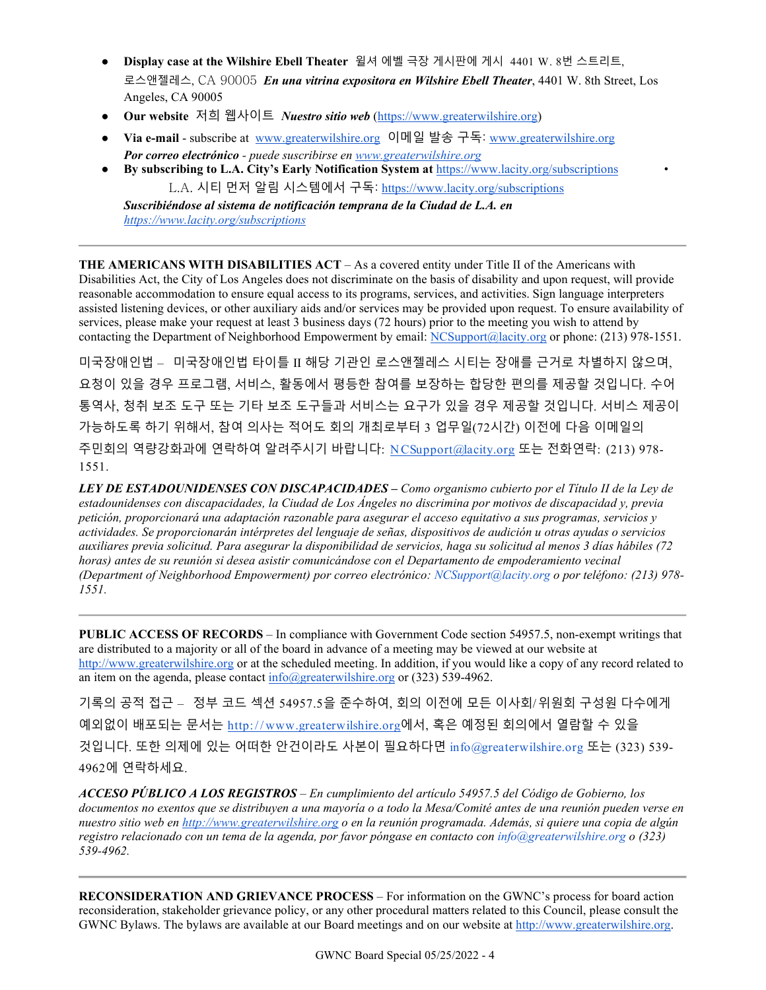- **Display case at the Wilshire Ebell Theater** 윌셔 에벨 극장 게시판에 게시 4401 W. 8번 스트리트, 로스앤젤레스, CA 90005 *En una vitrina expositora en Wilshire Ebell Theater*, 4401 W. 8th Street, Los Angeles, CA 90005
- **Our website** 저희 웹사이트 *Nuestro sitio web* [\(https://www.greaterwilshire.org\)](https://www.greaterwilshire.org/)
- **Via e-mail** subscribe at [www.greaterwilshire.org](http://www.greaterwilshire.org/) 이메일 발송 구독: [www.greaterwilshire.org](http://www.greaterwilshire.org/) *Por correo electrónico - puede suscribirse en [www.greaterwilshire.org](http://www.greaterwilshire.org/)*
- **By subscribing to L.A. City's Early Notification System at** <https://www.lacity.org/subscriptions> L.A. 시티 먼저 알림 시스템에서 구독: <https://www.lacity.org/subscriptions>

*Suscribiéndose al sistema de notificación temprana de la Ciudad de L.A. en <https://www.lacity.org/subscriptions>*

**THE AMERICANS WITH DISABILITIES ACT** – As a covered entity under Title II of the Americans with Disabilities Act, the City of Los Angeles does not discriminate on the basis of disability and upon request, will provide reasonable accommodation to ensure equal access to its programs, services, and activities. Sign language interpreters assisted listening devices, or other auxiliary aids and/or services may be provided upon request. To ensure availability of services, please make your request at least 3 business days (72 hours) prior to the meeting you wish to attend by contacting the Department of Neighborhood Empowerment by email: [NCSupport@lacity.org](mailto:NCSupport@lacity.org) or phone: (213) 978-1551.

미국장애인법 – 미국장애인법 타이틀 II 해당 기관인 로스앤젤레스 시티는 장애를 근거로 차별하지 않으며, 요청이 있을 경우 프로그램, 서비스, 활동에서 평등한 참여를 보장하는 합당한 편의를 제공할 것입니다. 수어 통역사, 청취 보조 도구 또는 기타 보조 도구들과 서비스는 요구가 있을 경우 제공할 것입니다. 서비스 제공이 가능하도록 하기 위해서, 참여 의사는 적어도 회의 개최로부터 3 업무일(72시간) 이전에 다음 이메일의 주민회의 역량강화과에 연락하여 알려주시기 바랍니다: [N CSupport@lacity.org](mailto:NCSupport@lacity.org) 또는 전화연락: (213) 978- 1551.

*LEY DE ESTADOUNIDENSES CON DISCAPACIDADES – Como organismo cubierto por el Título II de la Ley de estadounidenses con discapacidades, la Ciudad de Los Ángeles no discrimina por motivos de discapacidad y, previa petición, proporcionará una adaptación razonable para asegurar el acceso equitativo a sus programas, servicios y actividades. Se proporcionarán intérpretes del lenguaje de señas, dispositivos de audición u otras ayudas o servicios auxiliares previa solicitud. Para asegurar la disponibilidad de servicios, haga su solicitud al menos 3 días hábiles (72 horas) antes de su reunión si desea asistir comunicándose con el Departamento de empoderamiento vecinal (Department of Neighborhood Empowerment) por correo electrónico: NCSupport@lacity.org o por teléfono: (213) 978- 1551.* 

**PUBLIC ACCESS OF RECORDS** – In compliance with Government Code section 54957.5, non-exempt writings that are distributed to a majority or all of the board in advance of a meeting may be viewed at our website at [http://www.greaterwilshire.org](http://www.greaterwilshire.org/) or at the scheduled meeting. In addition, if you would like a copy of any record related to an item on the agenda, please contact  $info(\partial g)$  greaterwilshire.org or (323) 539-4962.

기록의 공적 접근 – 정부 코드 섹션 54957.5을 준수하여, 회의 이전에 모든 이사회/위원회 구성원 다수에게 예외없이 배포되는 문서는 http://www.greaterwilshire.org에서, 혹은 예정된 회의에서 열람할 수 있을 것입니다. 또한 의제에 있는 어떠한 안건이라도 사본이 필요하다면 info@greaterwilshire.org 또는 (323) 539- 4962에 연락하세요.

*ACCESO PÚBLICO A LOS REGISTROS – En cumplimiento del artículo 54957.5 del Código de Gobierno, los documentos no exentos que se distribuyen a una mayoría o a todo la Mesa/Comité antes de una reunión pueden verse en nuestro sitio web en [http://www.greaterwilshire.org](http://www.greaterwilshire.org/) o en la reunión programada. Además, si quiere una copia de algún registro relacionado con un tema de la agenda, por favor póngase en contacto con info@greaterwilshire.org o (323) 539-4962.* 

**RECONSIDERATION AND GRIEVANCE PROCESS** – For information on the GWNC's process for board action reconsideration, stakeholder grievance policy, or any other procedural matters related to this Council, please consult the GWNC Bylaws. The bylaws are available at our Board meetings and on our website at [http://www.greaterwilshire.org.](http://www.greaterwilshire.org/)